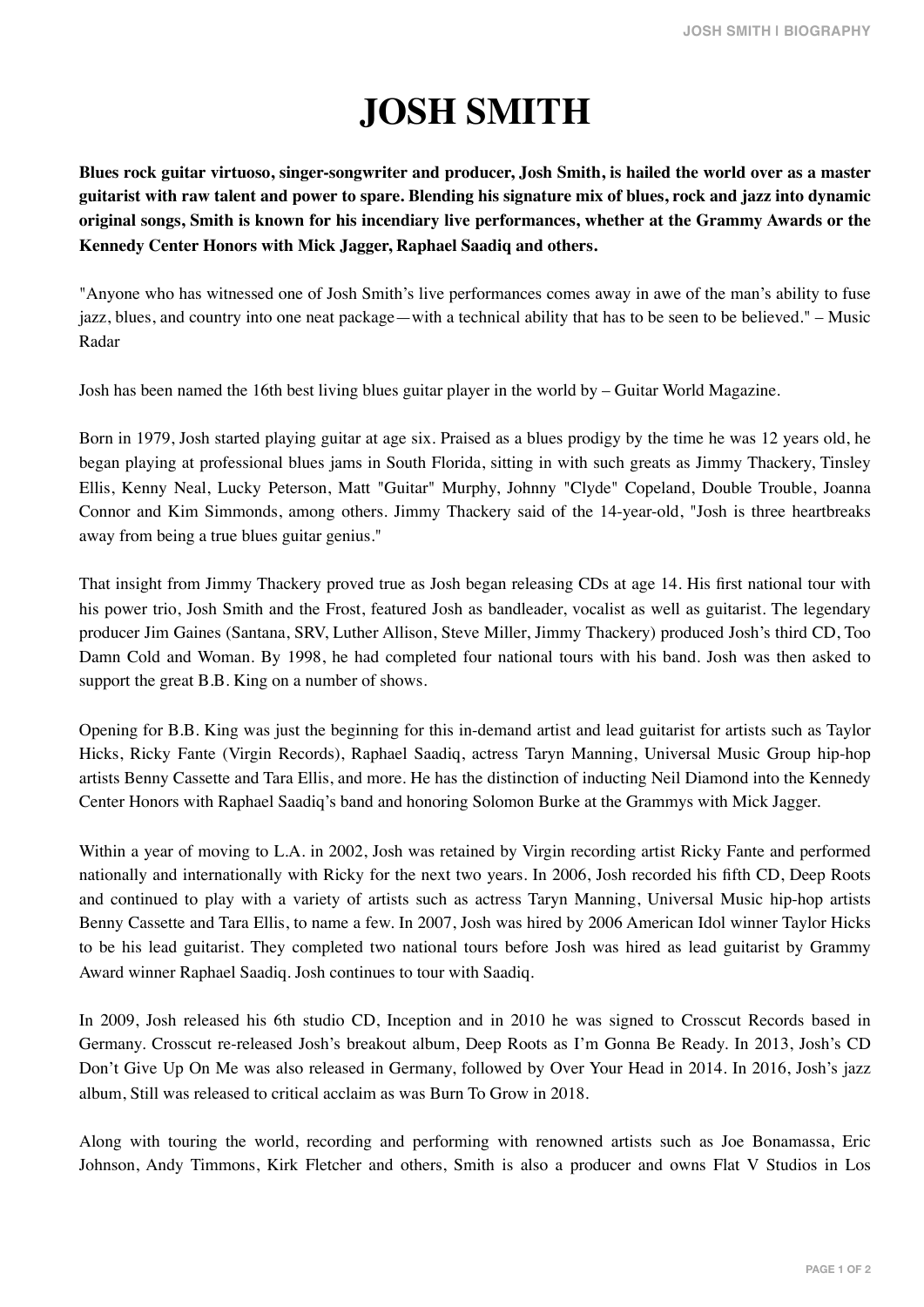## **JOSH SMITH**

**Blues rock guitar virtuoso, singer-songwriter and producer, Josh Smith, is hailed the world over as a master guitarist with raw talent and power to spare. Blending his signature mix of blues, rock and jazz into dynamic original songs, Smith is known for his incendiary live performances, whether at the Grammy Awards or the Kennedy Center Honors with Mick Jagger, Raphael Saadiq and others.**

"Anyone who has witnessed one of Josh Smith's live performances comes away in awe of the man's ability to fuse jazz, blues, and country into one neat package—with a technical ability that has to be seen to be believed." – Music Radar

Josh has been named the 16th best living blues guitar player in the world by – Guitar World Magazine.

Born in 1979, Josh started playing guitar at age six. Praised as a blues prodigy by the time he was 12 years old, he began playing at professional blues jams in South Florida, sitting in with such greats as Jimmy Thackery, Tinsley Ellis, Kenny Neal, Lucky Peterson, Matt "Guitar" Murphy, Johnny "Clyde" Copeland, Double Trouble, Joanna Connor and Kim Simmonds, among others. Jimmy Thackery said of the 14-year-old, "Josh is three heartbreaks away from being a true blues guitar genius."

That insight from Jimmy Thackery proved true as Josh began releasing CDs at age 14. His first national tour with his power trio, Josh Smith and the Frost, featured Josh as bandleader, vocalist as well as guitarist. The legendary producer Jim Gaines (Santana, SRV, Luther Allison, Steve Miller, Jimmy Thackery) produced Josh's third CD, Too Damn Cold and Woman. By 1998, he had completed four national tours with his band. Josh was then asked to support the great B.B. King on a number of shows.

Opening for B.B. King was just the beginning for this in-demand artist and lead guitarist for artists such as Taylor Hicks, Ricky Fante (Virgin Records), Raphael Saadiq, actress Taryn Manning, Universal Music Group hip-hop artists Benny Cassette and Tara Ellis, and more. He has the distinction of inducting Neil Diamond into the Kennedy Center Honors with Raphael Saadiq's band and honoring Solomon Burke at the Grammys with Mick Jagger.

Within a year of moving to L.A. in 2002, Josh was retained by Virgin recording artist Ricky Fante and performed nationally and internationally with Ricky for the next two years. In 2006, Josh recorded his fifth CD, Deep Roots and continued to play with a variety of artists such as actress Taryn Manning, Universal Music hip-hop artists Benny Cassette and Tara Ellis, to name a few. In 2007, Josh was hired by 2006 American Idol winner Taylor Hicks to be his lead guitarist. They completed two national tours before Josh was hired as lead guitarist by Grammy Award winner Raphael Saadiq. Josh continues to tour with Saadiq.

In 2009, Josh released his 6th studio CD, Inception and in 2010 he was signed to Crosscut Records based in Germany. Crosscut re-released Josh's breakout album, Deep Roots as I'm Gonna Be Ready. In 2013, Josh's CD Don't Give Up On Me was also released in Germany, followed by Over Your Head in 2014. In 2016, Josh's jazz album, Still was released to critical acclaim as was Burn To Grow in 2018.

Along with touring the world, recording and performing with renowned artists such as Joe Bonamassa, Eric Johnson, Andy Timmons, Kirk Fletcher and others, Smith is also a producer and owns Flat V Studios in Los